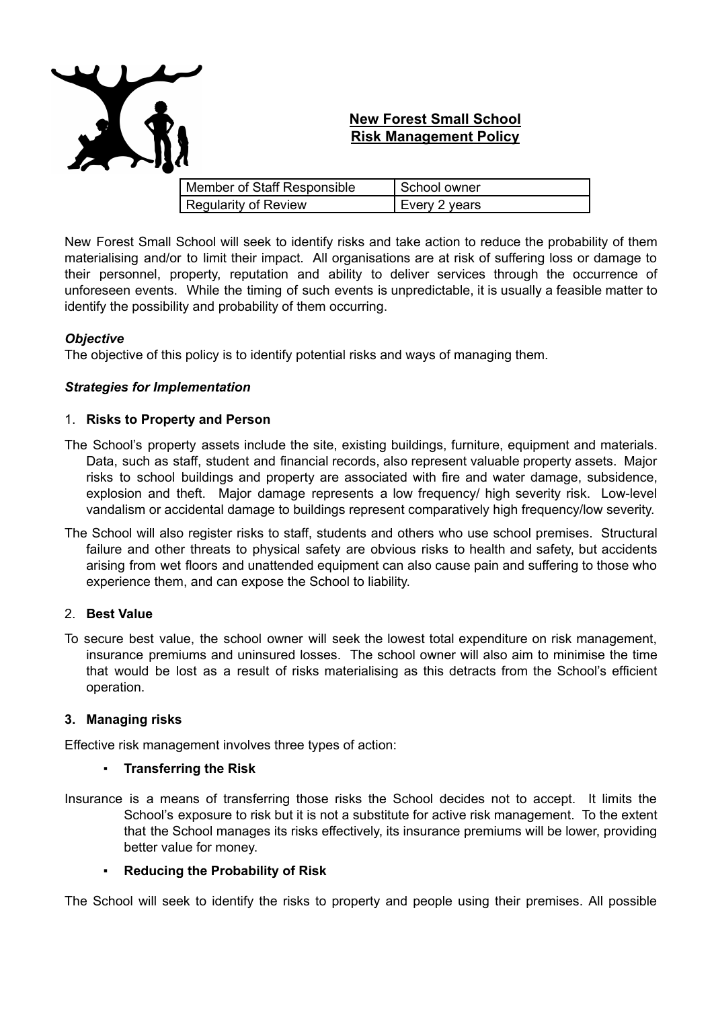

# **New Forest Small School Risk Management Policy**

| Member of Staff Responsible | School owner  |
|-----------------------------|---------------|
| <b>Regularity of Review</b> | Every 2 years |

New Forest Small School will seek to identify risks and take action to reduce the probability of them materialising and/or to limit their impact. All organisations are at risk of suffering loss or damage to their personnel, property, reputation and ability to deliver services through the occurrence of unforeseen events. While the timing of such events is unpredictable, it is usually a feasible matter to identify the possibility and probability of them occurring.

#### *Objective*

The objective of this policy is to identify potential risks and ways of managing them.

#### *Strategies for Implementation*

#### 1. **Risks to Property and Person**

- The School's property assets include the site, existing buildings, furniture, equipment and materials. Data, such as staff, student and financial records, also represent valuable property assets. Major risks to school buildings and property are associated with fire and water damage, subsidence, explosion and theft. Major damage represents a low frequency/ high severity risk. Low-level vandalism or accidental damage to buildings represent comparatively high frequency/low severity.
- The School will also register risks to staff, students and others who use school premises. Structural failure and other threats to physical safety are obvious risks to health and safety, but accidents arising from wet floors and unattended equipment can also cause pain and suffering to those who experience them, and can expose the School to liability.

# 2. **Best Value**

To secure best value, the school owner will seek the lowest total expenditure on risk management, insurance premiums and uninsured losses. The school owner will also aim to minimise the time that would be lost as a result of risks materialising as this detracts from the School's efficient operation.

#### **3. Managing risks**

Effective risk management involves three types of action:

#### ▪ **Transferring the Risk**

Insurance is a means of transferring those risks the School decides not to accept. It limits the School's exposure to risk but it is not a substitute for active risk management. To the extent that the School manages its risks effectively, its insurance premiums will be lower, providing better value for money.

# ▪ **Reducing the Probability of Risk**

The School will seek to identify the risks to property and people using their premises. All possible